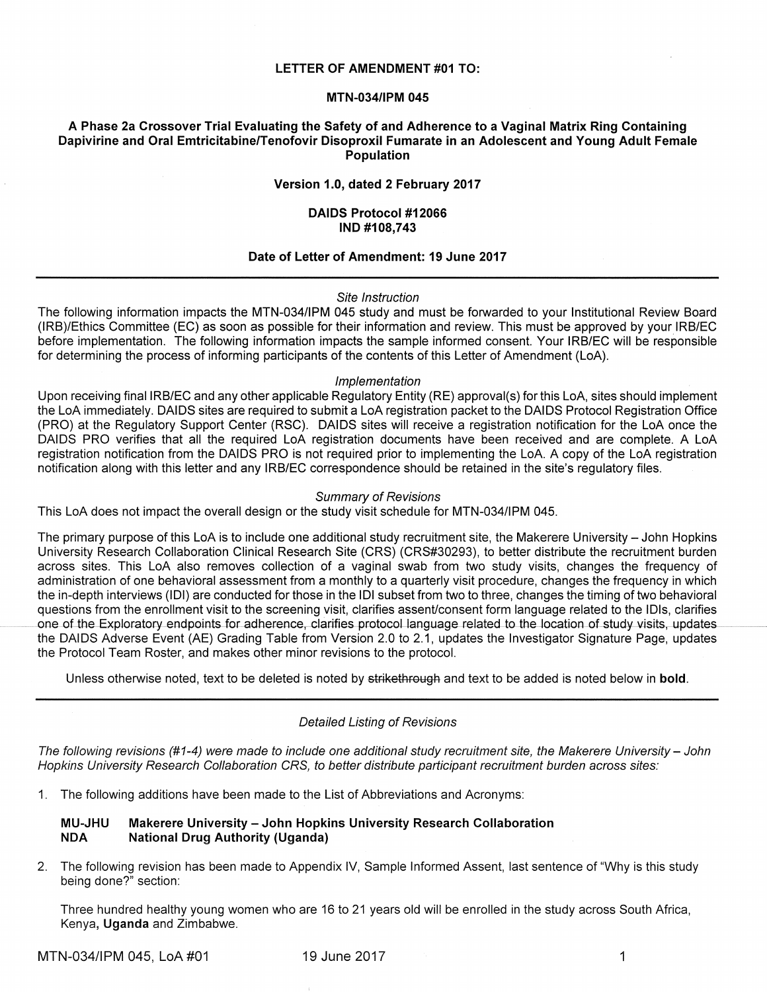#### **LETTER OF AMENDMENT #01 TO:**

## **MTN-034/IPM 045**

## **A Phase 2a Crossover Trial Evaluating the Safety of and Adherence to a Vaginal Matrix Ring Containing Dapivirine and Oral Emtricitabine/Tenofovir Disoproxil Fumarate in an Adolescent and Young Adult Female Population**

## **Version 1.0, dated 2 February 2017**

### **DAIDS Protocol #12066 IND #108,743**

## **Date of Letter of Amendment: 19 June 2017**

#### Site Instruction

The following information impacts the MTN-034/IPM 045 study and must be forwarded to your Institutional Review Board (IRB)/Ethics Committee (EC) as soon as possible for their information and review. This must be approved by your IRB/EC before implementation. The following information impacts the sample informed consent. Your IRB/EC will be responsible for determining the process of informing participants of the contents of this Letter of Amendment (LoA).

#### Implementation

Upon receiving final IRB/EC and any other applicable Regulatory Entity (RE) approval(s) for this LoA, sites should implement the LoA immediately. DAIDS sites are required to submit a LoA registration packet to the DAIDS Protocol Registration Office (PRO) at the Regulatory Support Center (RSC). DAIDS sites will receive a registration notification for the LoA once the DAIDS PRO verifies that all the required LoA registration documents have been received and are complete. A LoA registration notification from the DAIDS PRO is not required prior to implementing the LoA. A copy of the LoA registration notification along with this letter and any IRB/EC correspondence should be retained in the site's regulatory files.

#### Summary of Revisions

This LoA does not impact the overall design or the study visit schedule for MTN-034/IPM 045.

The primary purpose of this LoA is to include one additional study recruitment site, the Makerere University - John Hopkins University Research Collaboration Clinical Research Site (CRS) (CRS#30293), to better distribute the recruitment burden across sites. This LoA also removes collection of a vaginal swab from two study visits, changes the frequency of administration of one behavioral assessment from a monthly to a quarterly visit procedure, changes the frequency in which the in-depth interviews (IDI) are conducted for those in the IDI subset from two to three, changes the timing of two behavioral questions from the enrollment visit to the screening visit, clarifies assent/consent form language related to the IDls, clarifies one of the Exploratory endpoints for adherence, clarifies protocol language related to the location of study visits, updates the DAIDS Adverse Event (AE) Grading Table from Version 2.0 to 2.1, updates the Investigator Signature Page, updates the Protocol Team Roster, and makes other minor revisions to the protocol.

Unless otherwise noted, text to be deleted is noted by strikethrough and text to be added is noted below in **bold**.

#### Detailed Listing of Revisions

The following revisions (#1-4) were made to include one additional study recruitment site, the Makerere University-John Hopkins University Research Collaboration CRS, to better distribute participant recruitment burden across sites:

1. The following additions have been made to the List of Abbreviations and Acronyms:

## **MU-JHU Makerere University - John Hopkins University Research Collaboration NOA National Drug Authority (Uganda)**

2. The following revision has been made to Appendix IV, Sample Informed Assent, last sentence of "Why is this study being done?" section:

Three hundred healthy young women who are 16 to 21 years old will be enrolled in the study across South Africa, Kenya, **Uganda** and Zimbabwe.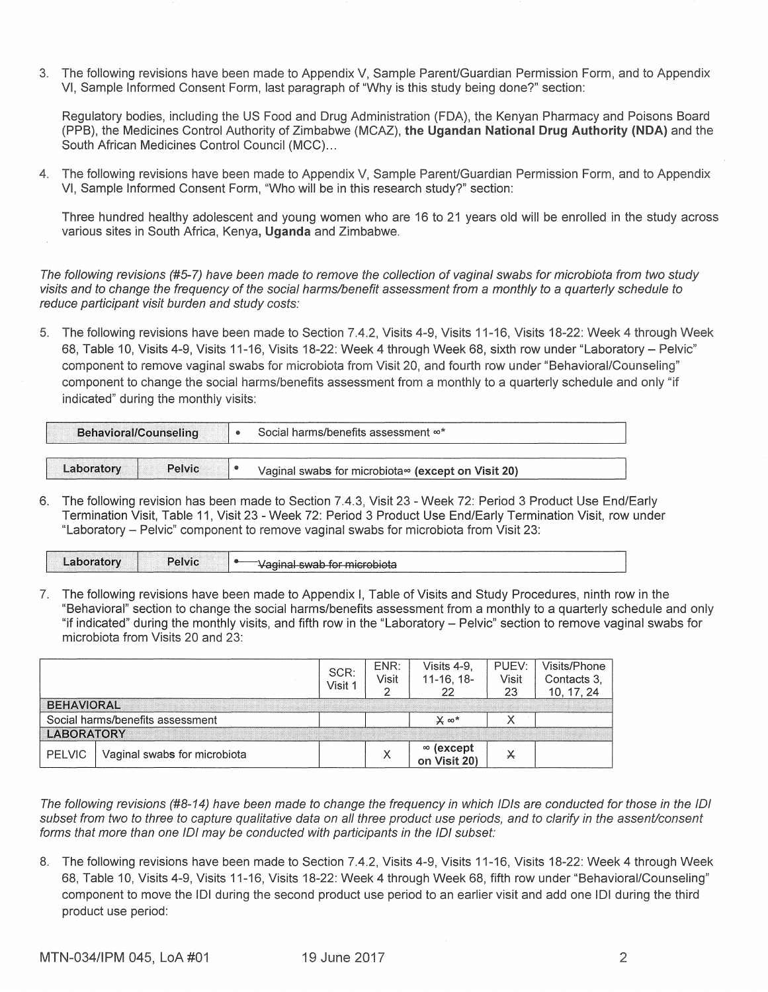3. The following revisions have been made to Appendix V, Sample Parent/Guardian Permission Form, and to Appendix VI, Sample Informed Consent Form, last paragraph of "Why is this study being done?" section:

Regulatory bodies, including the US Food and Drug Administration (FDA), the Kenyan Pharmacy and Poisons Board (PPB), the Medicines Control Authority of Zimbabwe (MCAZ), **the Ugandan National Drug Authority (NOA)** and the South African Medicines Control Council (MCC) ...

4. The following revisions have been made to Appendix V, Sample Parent/Guardian Permission Form, and to Appendix VI, Sample Informed Consent Form, "Who will be in this research study?" section:

Three hundred healthy adolescent and young women who are 16 to 21 years old will be enrolled in the study across various sites in South Africa, Kenya, **Uganda** and Zimbabwe.

The following revisions (#5-7) have been made to remove the collection of vaginal swabs for microbiota from two study visits and to change the frequency of the social harms/benefit assessment from a monthly to a quarterly schedule to reduce participant visit burden and study costs:

5. The following revisions have been made to Section 7.4.2, Visits 4-9, Visits 11-16, Visits 18-22: Week 4 through Week 68, Table 10, Visits 4-9, Visits 11-16, Visits 18-22: Week 4 through Week 68, sixth row under "Laboratory- Pelvic" component to remove vaginal swabs for microbiota from Visit 20, and fourth row under "Behavioral/Counseling" component to change the social harms/benefits assessment from a monthly to a quarterly schedule and only "if indicated" during the monthly visits:

| Behavioral/Counseling |  | Social harms/benefits assessment ∞*                |  |  |
|-----------------------|--|----------------------------------------------------|--|--|
| Pelvic<br>Laboratory  |  | Vaginal swabs for microbiota∞ (except on Visit 20) |  |  |

6. The following revision has been made to Section 7.4.3, Visit 23 - Week 72: Period 3 Product Use End/Early Termination Visit, Table 11, Visit 23 - Week 72: Period 3 Product Use End/Early Termination Visit, row under "Laboratory - Pelvic" component to remove vaginal swabs for microbiota from Visit 23:

| $P$ elvic $\blacksquare$<br>________<br><b>Contract Contract</b><br><b>SidtOry</b><br><del>ان است. است</del> swab for microbiota |
|----------------------------------------------------------------------------------------------------------------------------------|
|----------------------------------------------------------------------------------------------------------------------------------|

7. The following revisions have been made to Appendix I, Table of Visits and Study Procedures, ninth row in the "Behavioral" section to change the social harms/benefits assessment from a monthly to a quarterly schedule and only "if indicated" during the monthly visits, and fifth row in the "Laboratory - Pelvic" section to remove vaginal swabs for microbiota from Visits 20 and 23:

|                                  |                              | SCR:<br>Visit 1 | ENR:<br>Visit | Visits 4-9.<br>$11-16, 18-$      | PUEV:<br>Visit<br>23 | Visits/Phone<br>Contacts 3.<br>10.17.24 |
|----------------------------------|------------------------------|-----------------|---------------|----------------------------------|----------------------|-----------------------------------------|
| <b>BEHAVIORAL</b>                |                              |                 |               |                                  |                      |                                         |
| Social harms/benefits assessment |                              |                 |               | $\times \infty^*$                |                      |                                         |
| <b>LABORATORY</b>                |                              |                 |               |                                  |                      |                                         |
| <b>PELVIC</b>                    | Vaginal swabs for microbiota |                 |               | $\infty$ (except<br>on Visit 20) | y                    |                                         |

The following revisions (#8-14) have been made to change the frequency in which /Dis are conducted for those in the IOI subset from two to three to capture qualitative data on all three product use periods, and to clarify in the assent/consent forms that more than one IOI may be conducted with participants in the IOI subset:

8. The following revisions have been made to Section 7.4.2, Visits 4-9, Visits 11-16, Visits 18-22: Week 4 through Week 68, Table 10, Visits 4-9, Visits 11-16, Visits 18-22: Week 4 through Week 68, fifth row under "Behavioral/Counseling" component to move the IOI during the second product use period to an earlier visit and add one IOI during the third product use period: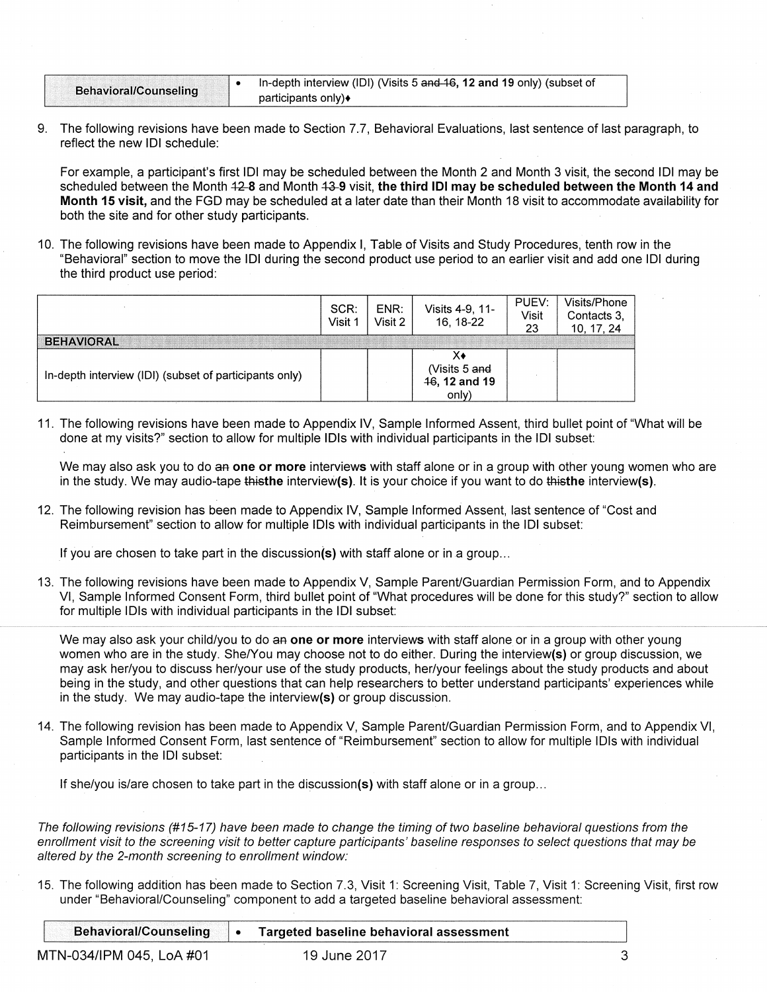| <b>Behavioral/Counseling</b> | In-depth interview (IDI) (Visits 5 and 16, 12 and 19 only) (subset of |
|------------------------------|-----------------------------------------------------------------------|
|                              | participants only) $\bullet$                                          |

9. The following revisions have been made to Section 7.7, Behavioral Evaluations, last sentence of last paragraph, to reflect the new IOI schedule:

For example, a participant's first IOI may be scheduled between the Month 2 and Month 3 visit, the second IOI may be scheduled between the Month 42-8 and Month 43-9 visit, the third IDI may be scheduled between the Month 14 and Month 15 visit, and the FGD may be scheduled at a later date than their Month 18 visit to accommodate availability for both the site and for other study participants.

10. The following revisions have been made to Appendix I, Table of Visits and Study Procedures, tenth row in the "Behavioral" section to move the IOI during the second product use period to an earlier visit and add one IOI during the third product use period:

|                                                        | SCR:<br>Visit 1 | ENR:<br>Visit 2 | Visits 4-9, 11-<br>16, 18-22            | PUEV:<br>Visit<br>23 | Visits/Phone<br>Contacts 3,<br>10, 17, 24 |
|--------------------------------------------------------|-----------------|-----------------|-----------------------------------------|----------------------|-------------------------------------------|
| <b>BEHAVIORAL</b>                                      |                 |                 |                                         |                      |                                           |
| In-depth interview (IDI) (subset of participants only) |                 |                 | (Visits 5 and<br>46, 12 and 19<br>only) |                      |                                           |

11. The following revisions have been made to Appendix IV, Sample Informed Assent, third bullet point of "What will be done at my visits?" section to allow for multiple IOls with individual participants in the IOI subset:

We may also ask you to do an one or more interviews with staff alone or in a group with other young women who are in the study. We may audio-tape thisthe interview(s). It is your choice if you want to do thisthe interview(s).

12. The following revision has been made to Appendix IV, Sample Informed Assent, last sentence of "Cost and Reimbursement" section to allow for multiple IDIs with individual participants in the IDI subset:

If you are chosen to take part in the discussion(s) with staff alone or in a group...

13. The following revisions have been made to Appendix V, Sample Parent/Guardian Permission Form, and to Appendix VI, Sample Informed Consent Form, third bullet point of "What procedures will be done for this study?" section to allow for multiple IDls with individual participants in the IOI subset:

We may also ask your child/you to do an one or more interviews with staff alone or in a group with other young women who are in the study. She/You may choose not to do either. During the interview(s) or group discussion, we may ask her/you to discuss her/your use of the study products, her/your feelings about the study products and about being in the study, and other questions that can help researchers to better understand participants' experiences while in the study. We may audio-tape the interview(s) or group discussion.

14. The following revision has been made to Appendix V, Sample Parent/Guardian Permission Form, and to Appendix VI, Sample Informed Consent Form, last sentence of "Reimbursement" section to allow for multiple IOls with individual participants in the IOI subset:

If she/you is/are chosen to take part in the discussion(s) with staff alone or in a group...

The following revisions (#15-17) have been made to change the timing of two baseline behavioral questions from the enrollment visit to the screening visit to better capture participants' baseline responses to select questions that may be altered by the 2-month screening to enrollment window:

15. The following addition has been made to Section 7.3, Visit 1: Screening Visit, Table 7, Visit 1: Screening Visit, first row under "Behavioral/Counseling" component to add a targeted baseline behavioral assessment:

| <b>Behavioral/Counseling</b> | Targeted baseline behavioral assessment |  |
|------------------------------|-----------------------------------------|--|
| MTN-034/IPM 045, LoA #01     | 19 June 2017                            |  |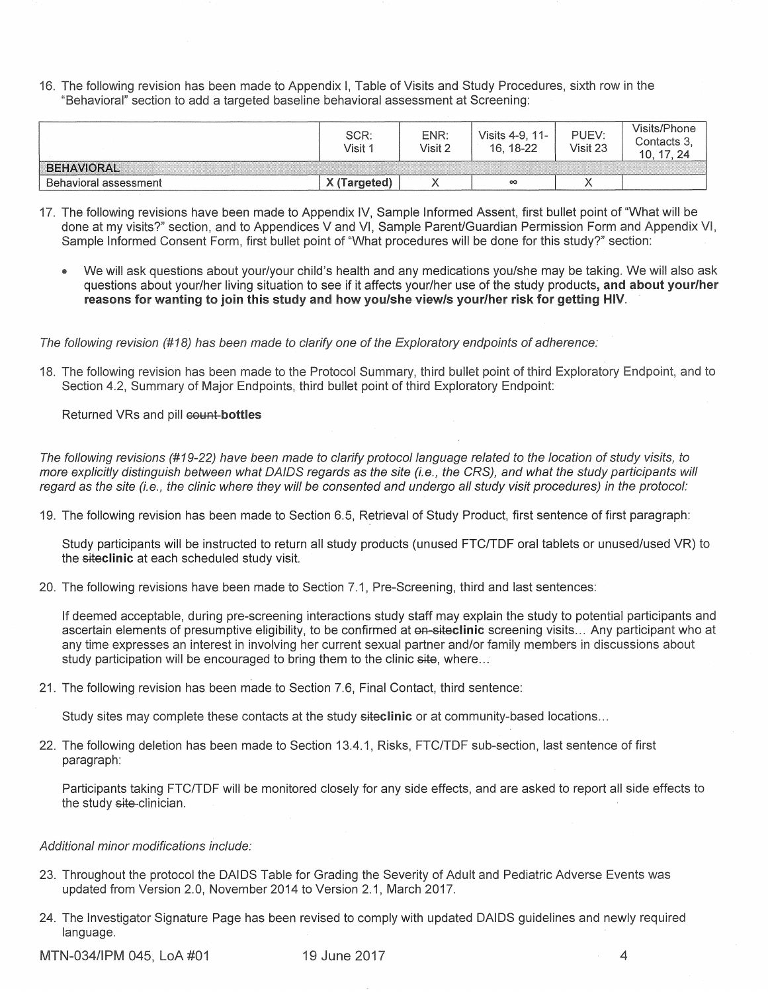16. The following revision has been made to Appendix I, Table of Visits and Study Procedures, sixth row in the "Behavioral" section to add a targeted baseline behavioral assessment at Screening:

|                       | SCR:<br>Visit <sup>4</sup> | ENR:<br>Visit 2 | Visits 4-9, 11-<br>16, 18-22 | PUEV:<br>Visit 23 | Visits/Phone<br>Contacts 3,<br>17.24<br>10 |
|-----------------------|----------------------------|-----------------|------------------------------|-------------------|--------------------------------------------|
| <b>BEHAVIORAL</b>     |                            |                 |                              |                   |                                            |
| Behavioral assessment | X (Targeted)               |                 | $\infty$                     |                   |                                            |

- 17. The following revisions have been made to Appendix IV, Sample Informed Assent, first bullet point of "What will be done at my visits?" section, and to Appendices V and VI, Sample Parent/Guardian Permission Form and Appendix VI, Sample Informed Consent Form, first bullet point of "What procedures will be done for this study?" section:
	- We will ask questions about your/your child's health and any medications you/she may be taking. We will also ask questions about your/her living situation to see if it affects your/her use of the study products, **and about your/her reasons for wanting to join this study and how you/she view/s your/her risk for getting HIV.**

The following revision (#18) has been made to clarify one of the Exploratory endpoints of adherence:

18. The following revision has been made to the Protocol Summary, third bullet point of third Exploratory Endpoint, and to Section 4.2, Summary of Major Endpoints, third bullet point of third Exploratory Endpoint:

**Returned VRs and pill count-bottles** 

The following revisions (#19-22) have been made to clarify protocol language related to the location of study visits, to more explicitly distinguish between what DAIDS regards as the site (i.e., the CRS), and what the study participants will regard as the site (i.e., the clinic where they will be consented and undergo all study visit procedures) in the protocol:

19. The following revision has been made to Section 6. 5, Retrieval of Study Product, first sentence of first paragraph:

Study participants will be instructed to return all study products (unused FTC/TDF oral tablets or unused/used VR) to the **siteclinic** at each scheduled study visit.

20. The following revisions have been made to Section 7.1, Pre-Screening, third and last sentences:

If deemed acceptable, during pre-screening interactions study staff may explain the study to potential participants and ascertain elements of presumptive eligibility, to be confirmed at **oo-siteclinic** screening visits ... Any participant who at any time expresses an interest in involving her current sexual partner and/or family members in discussions about study participation will be encouraged to bring them to the clinic site, where...

21. The following revision has been made to Section 7.6, Final Contact, third sentence:

Study sites may complete these contacts at the study **siteclinic** or at community-based locations ...

22. The following deletion has been made to Section 13.4.1, Risks, FTC/TDF sub-section, last sentence of first paragraph:

Participants taking FTC/TDF will be monitored closely for any side effects, and are asked to report all side effects to the study site-clinician.

## Additional minor modifications include:

- 23. Throughout the protocol the DAIDS Table for Grading the Severity of Adult and Pediatric Adverse Events was updated from Version 2.0, November 2014 to Version 2.1, March 2017.
- 24. The Investigator Signature Page has been revised to comply with updated DAIDS guidelines and newly required language.

MTN-034/IPM 045, LoA #01 19 June 2017 19 June 2017